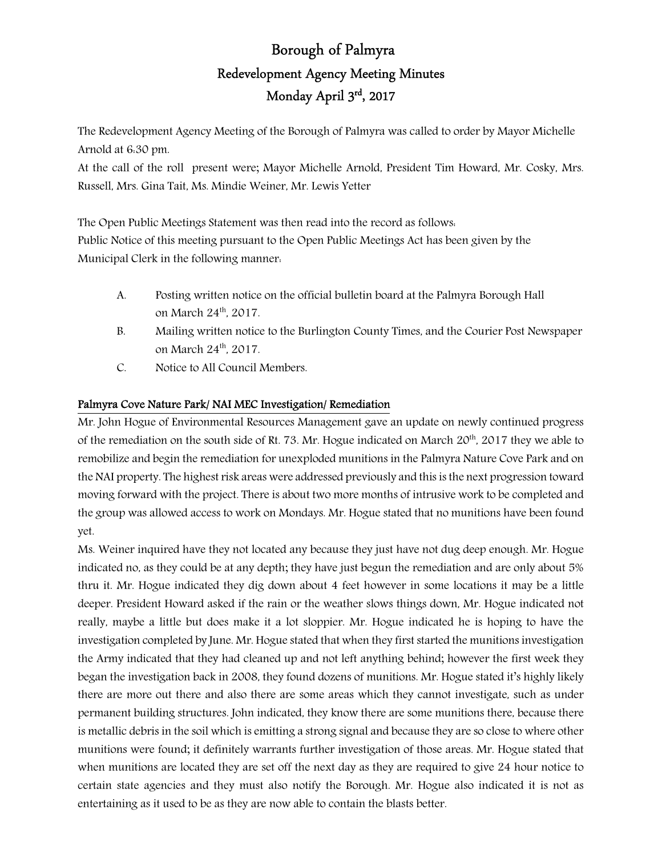# Borough of Palmyra Redevelopment Agency Meeting Minutes Monday April 3rd, 2017

The Redevelopment Agency Meeting of the Borough of Palmyra was called to order by Mayor Michelle Arnold at 6:30 pm.

At the call of the roll present were; Mayor Michelle Arnold, President Tim Howard, Mr. Cosky, Mrs. Russell, Mrs. Gina Tait, Ms. Mindie Weiner, Mr. Lewis Yetter

The Open Public Meetings Statement was then read into the record as follows: Public Notice of this meeting pursuant to the Open Public Meetings Act has been given by the Municipal Clerk in the following manner:

- A. Posting written notice on the official bulletin board at the Palmyra Borough Hall on March 24<sup>th</sup>, 2017.
- B. Mailing written notice to the Burlington County Times, and the Courier Post Newspaper on March 24th, 2017.
- C. Notice to All Council Members.

## Palmyra Cove Nature Park/ NAI MEC Investigation/ Remediation

Mr. John Hogue of Environmental Resources Management gave an update on newly continued progress of the remediation on the south side of Rt. 73. Mr. Hogue indicated on March 20<sup>th</sup>, 2017 they we able to remobilize and begin the remediation for unexploded munitions in the Palmyra Nature Cove Park and on the NAI property. The highest risk areas were addressed previously and this is the next progression toward moving forward with the project. There is about two more months of intrusive work to be completed and the group was allowed access to work on Mondays. Mr. Hogue stated that no munitions have been found yet.

Ms. Weiner inquired have they not located any because they just have not dug deep enough. Mr. Hogue indicated no, as they could be at any depth; they have just begun the remediation and are only about 5% thru it. Mr. Hogue indicated they dig down about 4 feet however in some locations it may be a little deeper. President Howard asked if the rain or the weather slows things down, Mr. Hogue indicated not really, maybe a little but does make it a lot sloppier. Mr. Hogue indicated he is hoping to have the investigation completed by June. Mr. Hogue stated that when they first started the munitions investigation the Army indicated that they had cleaned up and not left anything behind; however the first week they began the investigation back in 2008, they found dozens of munitions. Mr. Hogue stated it's highly likely there are more out there and also there are some areas which they cannot investigate, such as under permanent building structures. John indicated, they know there are some munitions there, because there is metallic debris in the soil which is emitting a strong signal and because they are so close to where other munitions were found; it definitely warrants further investigation of those areas. Mr. Hogue stated that when munitions are located they are set off the next day as they are required to give 24 hour notice to certain state agencies and they must also notify the Borough. Mr. Hogue also indicated it is not as entertaining as it used to be as they are now able to contain the blasts better.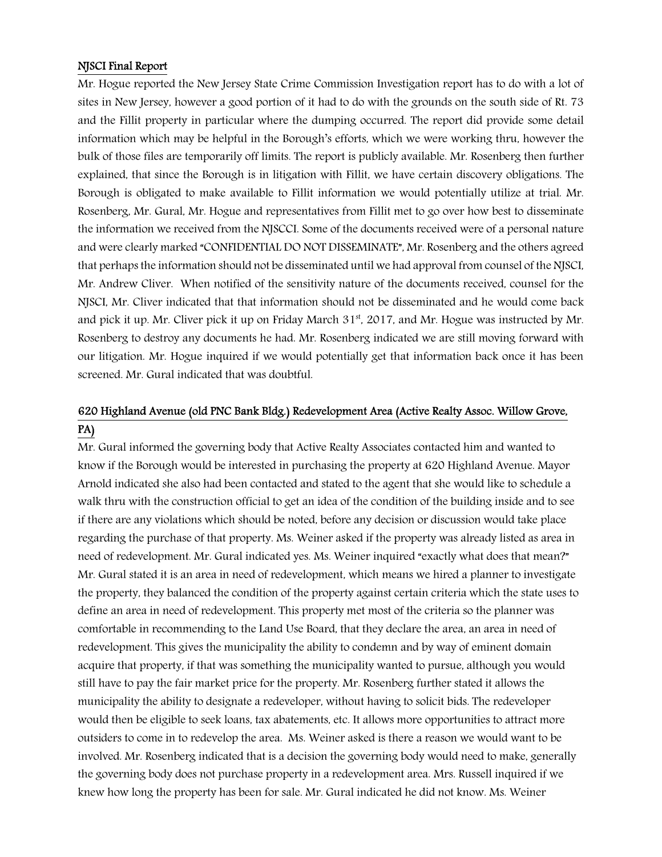### NJSCI Final Report

Mr. Hogue reported the New Jersey State Crime Commission Investigation report has to do with a lot of sites in New Jersey, however a good portion of it had to do with the grounds on the south side of Rt. 73 and the Fillit property in particular where the dumping occurred. The report did provide some detail information which may be helpful in the Borough's efforts, which we were working thru, however the bulk of those files are temporarily off limits. The report is publicly available. Mr. Rosenberg then further explained, that since the Borough is in litigation with Fillit, we have certain discovery obligations. The Borough is obligated to make available to Fillit information we would potentially utilize at trial. Mr. Rosenberg, Mr. Gural, Mr. Hogue and representatives from Fillit met to go over how best to disseminate the information we received from the NJSCCI. Some of the documents received were of a personal nature and were clearly marked "CONFIDENTIAL DO NOT DISSEMINATE", Mr. Rosenberg and the others agreed that perhaps the information should not be disseminated until we had approval from counsel of the NJSCI, Mr. Andrew Cliver. When notified of the sensitivity nature of the documents received, counsel for the NJSCI, Mr. Cliver indicated that that information should not be disseminated and he would come back and pick it up. Mr. Cliver pick it up on Friday March  $31<sup>st</sup>$ , 2017, and Mr. Hogue was instructed by Mr. Rosenberg to destroy any documents he had. Mr. Rosenberg indicated we are still moving forward with our litigation. Mr. Hogue inquired if we would potentially get that information back once it has been screened. Mr. Gural indicated that was doubtful.

# 620 Highland Avenue (old PNC Bank Bldg.) Redevelopment Area (Active Realty Assoc. Willow Grove, PA)

Mr. Gural informed the governing body that Active Realty Associates contacted him and wanted to know if the Borough would be interested in purchasing the property at 620 Highland Avenue. Mayor Arnold indicated she also had been contacted and stated to the agent that she would like to schedule a walk thru with the construction official to get an idea of the condition of the building inside and to see if there are any violations which should be noted, before any decision or discussion would take place regarding the purchase of that property. Ms. Weiner asked if the property was already listed as area in need of redevelopment. Mr. Gural indicated yes. Ms. Weiner inquired "exactly what does that mean?" Mr. Gural stated it is an area in need of redevelopment, which means we hired a planner to investigate the property, they balanced the condition of the property against certain criteria which the state uses to define an area in need of redevelopment. This property met most of the criteria so the planner was comfortable in recommending to the Land Use Board, that they declare the area, an area in need of redevelopment. This gives the municipality the ability to condemn and by way of eminent domain acquire that property, if that was something the municipality wanted to pursue, although you would still have to pay the fair market price for the property. Mr. Rosenberg further stated it allows the municipality the ability to designate a redeveloper, without having to solicit bids. The redeveloper would then be eligible to seek loans, tax abatements, etc. It allows more opportunities to attract more outsiders to come in to redevelop the area. Ms. Weiner asked is there a reason we would want to be involved. Mr. Rosenberg indicated that is a decision the governing body would need to make, generally the governing body does not purchase property in a redevelopment area. Mrs. Russell inquired if we knew how long the property has been for sale. Mr. Gural indicated he did not know. Ms. Weiner